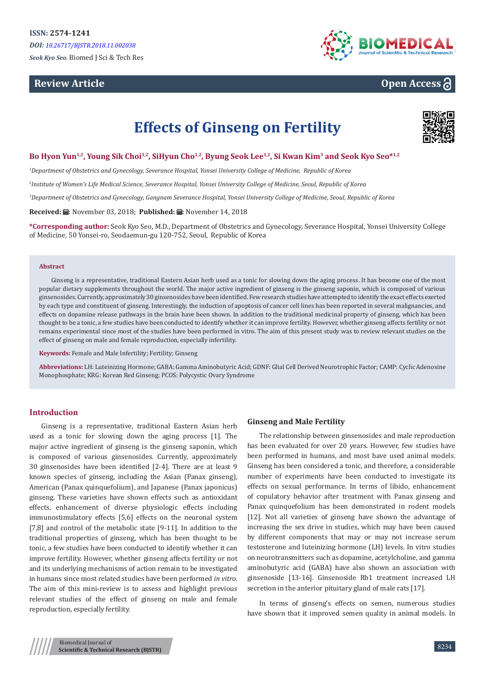# **Review Article**



# **Open Access**

# **Effects of Ginseng on Fertility**



**Bo Hyon Yun1,2, Young Sik Choi1,2, SiHyun Cho1,2, Byung Seok Lee1,2, Si Kwan Kim<sup>3</sup> and Seok Kyo Seo\*1,2**

*1 Department of Obstetrics and Gynecology, Severance Hospital, Yonsei University College of Medicine, Republic of Korea*

*2 Institute of Women's Life Medical Science, Severance Hospital, Yonsei University College of Medicine, Seoul, Republic of Korea*

*3 Department of Obstetrics and Gynecology, Gangnam Severance Hospital, Yonsei University College of Medicine, Seoul, Republic of Korea*

**Received: A:** November 03, 2018; **Published: 品:** November 14, 2018

**\*Corresponding author:** Seok Kyo Seo, M.D., Department of Obstetrics and Gynecology, Severance Hospital, Yonsei University College of Medicine, 50 Yonsei-ro, Seodaemun-gu 120-752, Seoul, Republic of Korea

#### **Abstract**

Ginseng is a representative, traditional Eastern Asian herb used as a tonic for slowing down the aging process. It has become one of the most popular dietary supplements throughout the world. The major active ingredient of ginseng is the ginseng saponin, which is composed of various ginsenosides. Currently, approximately 30 ginsenosides have been identified. Few research studies have attempted to identify the exact effects exerted by each type and constituent of ginseng. Interestingly, the induction of apoptosis of cancer cell lines has been reported in several malignancies, and effects on dopamine release pathways in the brain have been shown. In addition to the traditional medicinal property of ginseng, which has been thought to be a tonic, a few studies have been conducted to identify whether it can improve fertility. However, whether ginseng affects fertility or not remains experimental since most of the studies have been performed in vitro. The aim of this present study was to review relevant studies on the effect of ginseng on male and female reproduction, especially infertility.

**Keywords:** Female and Male Infertility; Fertility; Ginseng

**Abbreviations:** LH: Luteinizing Hormone; GABA: Gamma Aminobutyric Acid; GDNF: Glial Cell Derived Neurotrophic Factor; CAMP: Cyclic Adenosine Monophosphate; KRG: Korean Red Ginseng; PCOS: Polycystic Ovary Syndrome

# **Introduction**

Ginseng is a representative, traditional Eastern Asian herb used as a tonic for slowing down the aging process [1]. The major active ingredient of ginseng is the ginseng saponin, which is composed of various ginsenosides. Currently, approximately 30 ginsenosides have been identified [2-4]. There are at least 9 known species of ginseng, including the Asian (Panax ginseng), American (Panax quinquefolium), and Japanese (Panax japonicus) ginseng. These varieties have shown effects such as antioxidant effects, enhancement of diverse physiologic effects including immunostimulatory effects [5,6] effects on the neuronal system [7,8] and control of the metabolic state [9-11]. In addition to the traditional properties of ginseng, which has been thought to be tonic, a few studies have been conducted to identify whether it can improve fertility. However, whether ginseng affects fertility or not and its underlying mechanisms of action remain to be investigated in humans since most related studies have been performed *in vitro*. The aim of this mini-review is to assess and highlight previous relevant studies of the effect of ginseng on male and female reproduction, especially fertility.

#### **Ginseng and Male Fertility**

The relationship between ginsenosides and male reproduction has been evaluated for over 20 years. However, few studies have been performed in humans, and most have used animal models. Ginseng has been considered a tonic, and therefore, a considerable number of experiments have been conducted to investigate its effects on sexual performance. In terms of libido, enhancement of copulatory behavior after treatment with Panax ginseng and Panax quinquefolium has been demonstrated in rodent models [12]. Not all varieties of ginseng have shown the advantage of increasing the sex drive in studies, which may have been caused by different components that may or may not increase serum testosterone and luteinizing hormone (LH) levels. In vitro studies on neurotransmitters such as dopamine, acetylcholine, and gamma aminobutyric acid (GABA) have also shown an association with ginsenoside [13-16]. Ginsenoside Rb1 treatment increased LH secretion in the anterior pituitary gland of male rats [17].

In terms of ginseng's effects on semen, numerous studies have shown that it improved semen quality in animal models. In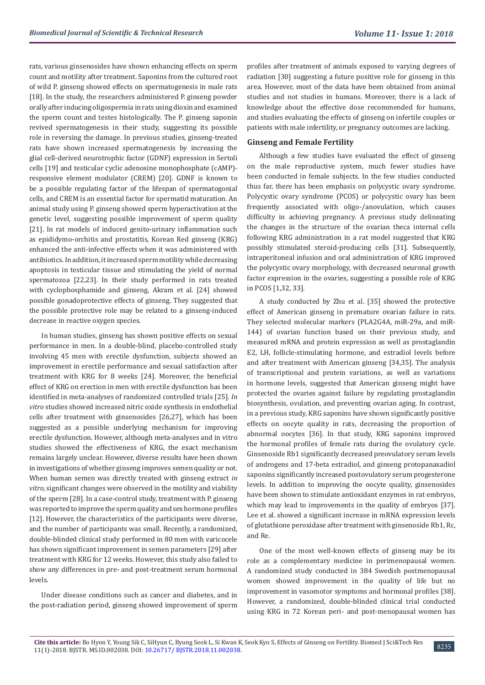rats, various ginsenosides have shown enhancing effects on sperm count and motility after treatment. Saponins from the cultured root of wild P. ginseng showed effects on spermatogenesis in male rats [18]. In the study, the researchers administered P. ginseng powder orally after inducing oligospermia in rats using dioxin and examined the sperm count and testes histologically. The P. ginseng saponin revived spermatogenesis in their study, suggesting its possible role in reversing the damage. In previous studies, ginseng-treated rats have shown increased spermatogenesis by increasing the glial cell-derived neurotrophic factor (GDNF) expression in Sertoli cells [19] and testicular cyclic adenosine monophosphate (cAMP) responsive element modulator (CREM) [20]. GDNF is known to be a possible regulating factor of the lifespan of spermatogonial cells, and CREM is an essential factor for spermatid maturation. An animal study using P. ginseng showed sperm hyperactivation at the genetic level, suggesting possible improvement of sperm quality [21]. In rat models of induced genito-urinary inflammation such as epididymo-orchitis and prostatitis, Korean Red ginseng (KRG) enhanced the anti-infective effects when it was administered with antibiotics. In addition, it increased sperm motility while decreasing apoptosis in testicular tissue and stimulating the yield of normal spermatozoa [22,23]. In their study performed in rats treated with cyclophosphamide and ginseng, Akram et al. [24] showed possible gonadoprotective effects of ginseng. They suggested that the possible protective role may be related to a ginseng-induced decrease in reactive oxygen species.

In human studies, ginseng has shown positive effects on sexual performance in men. In a double-blind, placebo-controlled study involving 45 men with erectile dysfunction, subjects showed an improvement in erectile performance and sexual satisfaction after treatment with KRG for 8 weeks [24]. Moreover, the beneficial effect of KRG on erection in men with erectile dysfunction has been identified in meta-analyses of randomized controlled trials [25]. *In vitro* studies showed increased nitric oxide synthesis in endothelial cells after treatment with ginsenosides [26,27], which has been suggested as a possible underlying mechanism for improving erectile dysfunction. However, although meta-analyses and in vitro studies showed the effectiveness of KRG, the exact mechanism remains largely unclear. However, diverse results have been shown in investigations of whether ginseng improves semen quality or not. When human semen was directly treated with ginseng extract *in vitro,* significant changes were observed in the motility and viability of the sperm [28]. In a case-control study, treatment with P. ginseng was reported to improve the sperm quality and sex hormone profiles [12]. However, the characteristics of the participants were diverse, and the number of participants was small. Recently, a randomized, double-blinded clinical study performed in 80 men with varicocele has shown significant improvement in semen parameters [29] after treatment with KRG for 12 weeks. However, this study also failed to show any differences in pre- and post-treatment serum hormonal levels.

Under disease conditions such as cancer and diabetes, and in the post-radiation period, ginseng showed improvement of sperm profiles after treatment of animals exposed to varying degrees of radiation [30] suggesting a future positive role for ginseng in this area. However, most of the data have been obtained from animal studies and not studies in humans. Moreover, there is a lack of knowledge about the effective dose recommended for humans, and studies evaluating the effects of ginseng on infertile couples or patients with male infertility, or pregnancy outcomes are lacking.

## **Ginseng and Female Fertility**

Although a few studies have evaluated the effect of ginseng on the male reproductive system, much fewer studies have been conducted in female subjects. In the few studies conducted thus far, there has been emphasis on polycystic ovary syndrome. Polycystic ovary syndrome (PCOS) or polycystic ovary has been frequently associated with oligo-/anovulation, which causes difficulty in achieving pregnancy. A previous study delineating the changes in the structure of the ovarian theca internal cells following KRG administration in a rat model suggested that KRG possibly stimulated steroid-producing cells [31]. Subsequently, intraperitoneal infusion and oral administration of KRG improved the polycystic ovary morphology, with decreased neuronal growth factor expression in the ovaries, suggesting a possible role of KRG in PCOS [1,32, 33].

A study conducted by Zhu et al. [35] showed the protective effect of American ginseng in premature ovarian failure in rats. They selected molecular markers (PLA2G4A, miR-29a, and miR-144) of ovarian function based on their previous study, and measured mRNA and protein expression as well as prostaglandin E2, LH, follicle-stimulating hormone, and estradiol levels before and after treatment with American ginseng [34,35]. The analysis of transcriptional and protein variations, as well as variations in hormone levels, suggested that American ginseng might have protected the ovaries against failure by regulating prostaglandin biosynthesis, ovulation, and preventing ovarian aging. In contrast, in a previous study, KRG saponins have shown significantly positive effects on oocyte quality in rats, decreasing the proportion of abnormal oocytes [36]. In that study, KRG saponins improved the hormonal profiles of female rats during the ovulatory cycle. Ginsenoside Rb1 significantly decreased preovulatory serum levels of androgens and 17-beta estradiol, and ginseng protopanaxadiol saponins significantly increased postovulatory serum progesterone levels. In addition to improving the oocyte quality, ginsenosides have been shown to stimulate antioxidant enzymes in rat embryos, which may lead to improvements in the quality of embryos [37]. Lee et al. showed a significant increase in mRNA expression levels of glutathione peroxidase after treatment with ginsenoside Rb1, Rc, and Re.

One of the most well-known effects of ginseng may be its role as a complementary medicine in perimenopausal women. A randomized study conducted in 384 Swedish postmenopausal women showed improvement in the quality of life but no improvement in vasomotor symptoms and hormonal profiles [38]. However, a randomized, double-blinded clinical trial conducted using KRG in 72 Korean peri- and post-menopausal women has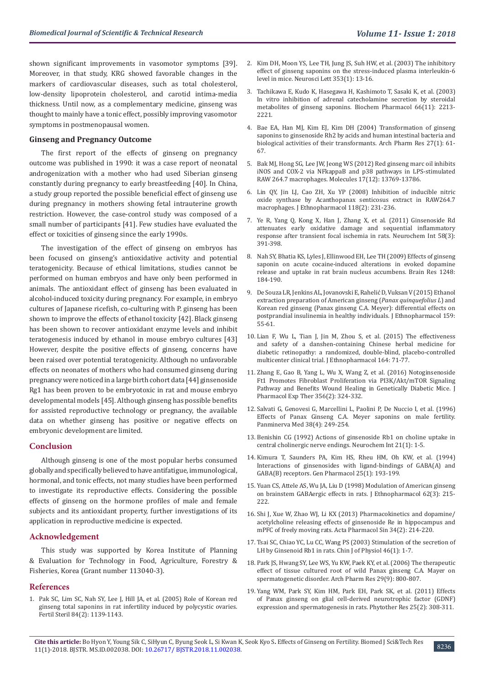shown significant improvements in vasomotor symptoms [39]. Moreover, in that study, KRG showed favorable changes in the markers of cardiovascular diseases, such as total cholesterol, low-density lipoprotein cholesterol, and carotid intima-media thickness. Until now, as a complementary medicine, ginseng was thought to mainly have a tonic effect, possibly improving vasomotor symptoms in postmenopausal women.

#### **Ginseng and Pregnancy Outcome**

The first report of the effects of ginseng on pregnancy outcome was published in 1990: it was a case report of neonatal androgenization with a mother who had used Siberian ginseng constantly during pregnancy to early breastfeeding [40]. In China, a study group reported the possible beneficial effect of ginseng use during pregnancy in mothers showing fetal intrauterine growth restriction. However, the case-control study was composed of a small number of participants [41]. Few studies have evaluated the effect or toxicities of ginseng since the early 1990s.

The investigation of the effect of ginseng on embryos has been focused on ginseng's antioxidative activity and potential teratogenicity. Because of ethical limitations, studies cannot be performed on human embryos and have only been performed in animals. The antioxidant effect of ginseng has been evaluated in alcohol-induced toxicity during pregnancy. For example, in embryo cultures of Japanese ricefish, co-culturing with P. ginseng has been shown to improve the effects of ethanol toxicity [42]. Black ginseng has been shown to recover antioxidant enzyme levels and inhibit teratogenesis induced by ethanol in mouse embryo cultures [43] However, despite the positive effects of ginseng, concerns have been raised over potential teratogenicity. Although no unfavorable effects on neonates of mothers who had consumed ginseng during pregnancy were noticed in a large birth cohort data [44] ginsenoside Rg1 has been proven to be embryotoxic in rat and mouse embryo developmental models [45]. Although ginseng has possible benefits for assisted reproductive technology or pregnancy, the available data on whether ginseng has positive or negative effects on embryonic development are limited.

#### **Conclusion**

Although ginseng is one of the most popular herbs consumed globally and specifically believed to have antifatigue, immunological, hormonal, and tonic effects, not many studies have been performed to investigate its reproductive effects. Considering the possible effects of ginseng on the hormone profiles of male and female subjects and its antioxidant property, further investigations of its application in reproductive medicine is expected.

#### **Acknowledgement**

This study was supported by Korea Institute of Planning & Evaluation for Technology in Food, Agriculture, Forestry & Fisheries, Korea (Grant number 113040-3).

#### **References**

1. [Pak SC, Lim SC, Nah SY, Lee J, Hill JA, et al. \(2005\) Role of Korean red](https://www.ncbi.nlm.nih.gov/pubmed/16210005)  [ginseng total saponins in rat infertility induced by polycystic ovaries.](https://www.ncbi.nlm.nih.gov/pubmed/16210005)  [Fertil Steril 84\(2\): 1139-1143.](https://www.ncbi.nlm.nih.gov/pubmed/16210005)

- 2. [Kim DH, Moon YS, Lee TH, Jung JS, Suh HW, et al. \(2003\) The inhibitory](https://www.ncbi.nlm.nih.gov/pubmed/14642426) [effect of ginseng saponins on the stress-induced plasma interleukin-6](https://www.ncbi.nlm.nih.gov/pubmed/14642426) [level in mice. Neurosci Lett 353\(1\): 13-16.](https://www.ncbi.nlm.nih.gov/pubmed/14642426)
- 3. [Tachikawa E, Kudo K, Hasegawa H, Kashimoto T, Sasaki K, et al. \(2003\)](https://www.ncbi.nlm.nih.gov/pubmed/14609746) [In vitro inhibition of adrenal catecholamine secretion by steroidal](https://www.ncbi.nlm.nih.gov/pubmed/14609746) [metabolites of ginseng saponins. Biochem Pharmacol 66\(11\): 2213-](https://www.ncbi.nlm.nih.gov/pubmed/14609746) [2221.](https://www.ncbi.nlm.nih.gov/pubmed/14609746)
- 4. [Bae EA, Han MJ, Kim EJ, Kim DH \(2004\) Transformation of ginseng](https://www.ncbi.nlm.nih.gov/pubmed/14969341) [saponins to ginsenoside Rh2 by acids and human intestinal bacteria and](https://www.ncbi.nlm.nih.gov/pubmed/14969341) [biological activities of their transformants. Arch Pharm Res 27\(1\): 61-](https://www.ncbi.nlm.nih.gov/pubmed/14969341) [67.](https://www.ncbi.nlm.nih.gov/pubmed/14969341)
- 5. [Bak MJ, Hong SG, Lee JW, Jeong WS \(2012\) Red ginseng marc oil inhibits](https://www.ncbi.nlm.nih.gov/pubmed/23174895) [iNOS and COX-2 via NFkappaB and p38 pathways in LPS-stimulated](https://www.ncbi.nlm.nih.gov/pubmed/23174895) [RAW 264.7 macrophages. Molecules 17\(12\): 13769-13786.](https://www.ncbi.nlm.nih.gov/pubmed/23174895)
- 6. [Lin QY, Jin LJ, Cao ZH, Xu YP \(2008\) Inhibition of inducible nitric](https://www.ncbi.nlm.nih.gov/pubmed/18486372) [oxide synthase by Acanthopanax senticosus extract in RAW264.7](https://www.ncbi.nlm.nih.gov/pubmed/18486372) [macrophages. J Ethnopharmacol 118\(2\): 231-236.](https://www.ncbi.nlm.nih.gov/pubmed/18486372)
- 7. [Ye R, Yang Q, Kong X, Han J, Zhang X, et al. \(2011\) Ginsenoside Rd](https://www.ncbi.nlm.nih.gov/pubmed/21185898) [attenuates early oxidative damage and sequential inflammatory](https://www.ncbi.nlm.nih.gov/pubmed/21185898) [response after transient focal ischemia in rats. Neurochem Int 58\(3\):](https://www.ncbi.nlm.nih.gov/pubmed/21185898) [391-398.](https://www.ncbi.nlm.nih.gov/pubmed/21185898)
- 8. [Nah SY, Bhatia KS, Lyles J, Ellinwood EH, Lee TH \(2009\) Effects of ginseng](https://www.ncbi.nlm.nih.gov/pubmed/19026615) [saponin on acute cocaine-induced alterations in evoked dopamine](https://www.ncbi.nlm.nih.gov/pubmed/19026615) [release and uptake in rat brain nucleus accumbens. Brain Res 1248:](https://www.ncbi.nlm.nih.gov/pubmed/19026615) [184-190.](https://www.ncbi.nlm.nih.gov/pubmed/19026615)
- 9. [De Souza LR, Jenkins AL, Jovanovski E, Rahelić D, Vuksan V \(2015\) Ethanol](https://www.ncbi.nlm.nih.gov/pubmed/25446600) [extraction preparation of American ginseng \(](https://www.ncbi.nlm.nih.gov/pubmed/25446600)*Panax quinquefolius L*) and [Korean red ginseng \(Panax ginseng C.A. Meyer\): differential effects on](https://www.ncbi.nlm.nih.gov/pubmed/25446600) [postprandial insulinemia in healthy individuals. J Ethnopharmacol 159:](https://www.ncbi.nlm.nih.gov/pubmed/25446600) [55-61.](https://www.ncbi.nlm.nih.gov/pubmed/25446600)
- 10. [Lian F, Wu L, Tian J, Jin M, Zhou S, et al. \(2015\) The effectiveness](https://www.ncbi.nlm.nih.gov/pubmed/25666427) [and safety of a danshen-containing Chinese herbal medicine for](https://www.ncbi.nlm.nih.gov/pubmed/25666427) [diabetic retinopathy: a randomized, double-blind, placebo-controlled](https://www.ncbi.nlm.nih.gov/pubmed/25666427) [multicenter clinical trial. J Ethnopharmacol 164: 71-77.](https://www.ncbi.nlm.nih.gov/pubmed/25666427)
- 11. [Zhang E, Gao B, Yang L, Wu X, Wang Z, et al. \(2016\) Notoginsenoside](https://www.ncbi.nlm.nih.gov/pubmed/26567319) [Ft1 Promotes Fibroblast Proliferation via PI3K/Akt/mTOR Signaling](https://www.ncbi.nlm.nih.gov/pubmed/26567319) [Pathway and Benefits Wound Healing in Genetically Diabetic Mice. J](https://www.ncbi.nlm.nih.gov/pubmed/26567319) [Pharmacol Exp Ther 356\(2\): 324-332.](https://www.ncbi.nlm.nih.gov/pubmed/26567319)
- 12. [Salvati G, Genovesi G, Marcellini L, Paolini P, De Nuccio I, et al. \(1996\)](https://www.ncbi.nlm.nih.gov/pubmed/9063034) [Effects of Panax Ginseng C.A. Meyer saponins on male fertility.](https://www.ncbi.nlm.nih.gov/pubmed/9063034) [Panminerva Med 38\(4\): 249-254.](https://www.ncbi.nlm.nih.gov/pubmed/9063034)
- 13. [Benishin CG \(1992\) Actions of ginsenoside Rb1 on choline uptake in](https://www.ncbi.nlm.nih.gov/pubmed/1338897) [central cholinergic nerve endings. Neurochem Int 21\(1\): 1-5.](https://www.ncbi.nlm.nih.gov/pubmed/1338897)
- 14. [Kimura T, Saunders PA, Kim HS, Rheu HM, Oh KW, et al. \(1994\)](https://www.ncbi.nlm.nih.gov/pubmed/8026706) [Interactions of ginsenosides with ligand-bindings of GABA\(A\) and](https://www.ncbi.nlm.nih.gov/pubmed/8026706) [GABA\(B\) receptors. Gen Pharmacol 25\(1\): 193-199.](https://www.ncbi.nlm.nih.gov/pubmed/8026706)
- 15. [Yuan CS, Attele AS, Wu JA, Liu D \(1998\) Modulation of American ginseng](https://www.ncbi.nlm.nih.gov/pubmed/9849631) [on brainstem GABAergic effects in rats. J Ethnopharmacol 62\(3\): 215-](https://www.ncbi.nlm.nih.gov/pubmed/9849631) [222.](https://www.ncbi.nlm.nih.gov/pubmed/9849631)
- 16. [Shi J, Xue W, Zhao WJ, Li KX \(2013\) Pharmacokinetics and dopamine/](https://www.ncbi.nlm.nih.gov/pubmed/23202798) [acetylcholine releasing effects of ginsenoside Re in hippocampus and](https://www.ncbi.nlm.nih.gov/pubmed/23202798) [mPFC of freely moving rats. Acta Pharmacol Sin 34\(2\): 214-220.](https://www.ncbi.nlm.nih.gov/pubmed/23202798)
- 17. [Tsai SC, Chiao YC, Lu CC, Wang PS \(2003\) Stimulation of the secretion of](https://www.ncbi.nlm.nih.gov/pubmed/12817698) [LH by Ginsenoid Rb1 in rats. Chin J of Physiol 46\(1\): 1-7.](https://www.ncbi.nlm.nih.gov/pubmed/12817698)
- 18. [Park JS, Hwang SY, Lee WS, Yu KW, Paek KY, et al. \(2006\) The therapeutic](https://www.ncbi.nlm.nih.gov/pubmed/17024855) [effect of tissue cultured root of wild Panax ginseng C.A. Mayer on](https://www.ncbi.nlm.nih.gov/pubmed/17024855) [spermatogenetic disorder. Arch Pharm Res 29\(9\): 800-807.](https://www.ncbi.nlm.nih.gov/pubmed/17024855)
- 19. [Yang WM, Park SY, Kim HM, Park EH, Park SK, et al. \(2011\) Effects](https://www.ncbi.nlm.nih.gov/pubmed/20625988) [of Panax ginseng on glial cell-derived neurotrophic factor \(GDNF\)](https://www.ncbi.nlm.nih.gov/pubmed/20625988) [expression and spermatogenesis in rats. Phytother Res 25\(2\): 308-311.](https://www.ncbi.nlm.nih.gov/pubmed/20625988)

**Cite this article:** Bo Hyon Y, Young Sik C, SiHyun C, Byung Seok L, Si Kwan K, Seok Kyo S**.** Effects of Ginseng on Fertility. Biomed J Sci&Tech Res 0.10 Che dins at title: bo hydn 1, foung six c, shfyun c, byung seok L, St Kwan K, Seok Kyo S. Effects of uniseing on refundy. Biomed J Sci&fecti Res<br>11(1)-2018. BJSTR. MS.ID.002038. DOI: [10.26717/ BJSTR.2018.11.002038](http://dx.doi.org/10.26717/BJSTR.2018.11.002038).